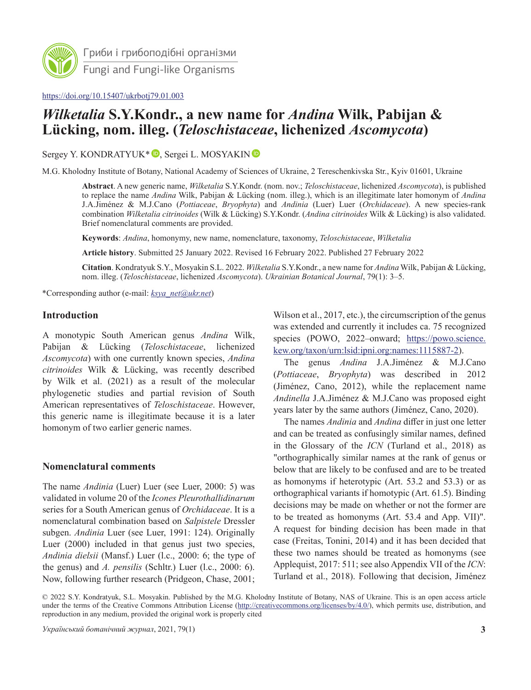

Гриби і грибоподібні організми Fungi and Fungi-like Organisms

#### <https://doi.org/10.15407/ukrbotj79.01.003>

# *Wilketalia* **S.Y.Kondr., a new name for** *Andina* **Wilk, Pabijan & Lücking, nom. illeg. (***Teloschistaceae***, lichenized** *Ascomycota***)**

Sergey Y. KONDRATYUK<sup>\*</sup> <sup>D</sup>[,](https://orcid.org/0000-0002-2622-0832) Sergei L. MOSYAKI[N](https://orcid.org/0000-0002-3570-3190) <sup>D</sup>

M.G. Kholodny Institute of Botany, National Academy of Sciences of Ukraine, 2 Tereschenkivska Str., Kyiv 01601, Ukraine

**Abstract**. A new generic name, *Wilketalia* S.Y.Kondr. (nom. nov.; *Teloschistaceae*, lichenized *Ascomycota*), is published to replace the name *Andina* Wilk, Pabijan & Lücking (nom. illeg.), which is an illegitimate later homonym of *Andina* J.A.Jiménez & M.J.Cano (*Pottiaceae*, *Bryophyta*) and *Andinia* (Luer) Luer (*Orchidaceae*). A new species-rank combination *Wilketalia citrinoides* (Wilk & Lücking) S.Y.Kondr. (*Andina citrinoides* Wilk & Lücking) is also validated. Brief nomenclatural comments are provided.

**Keywords**: *Andina*, homonymy, new name, nomenclature, taxonomy, *Teloschistaceae*, *Wilketalia*

**Article history**. Submitted 25 January 2022. Revised 16 February 2022. Published 27 February 2022

**Citation**. Kondratyuk S.Y., Mosyakin S.L. 2022. *Wilketalia* S.Y.Kondr., a new name for *Andina* Wilk, Pabijan & Lücking, nom. illeg. (*Teloschistaceae*, lichenized *Ascomycota*). *Ukrainian Botanical Journal*, 79(1): 3–5.

\*Corresponding author (e-mail: *[ksya\\_net@ukr.net](mailto:ksya_net@ukr.net)*)

### **Introduction**

A monotypic South American genus *Andina* Wilk, Pabijan & Lücking (*Teloschistaceae*, lichenized *Ascomycota*) with one currently known species, *Andina citrinoides* Wilk & Lücking, was recently described by Wilk et al. (2021) as a result of the molecular phylogenetic studies and partial revision of South American representatives of *Teloschistaceae*. However, this generic name is illegitimate because it is a later homonym of two earlier generic names.

## **Nomenclatural comments**

The name *Andinia* (Luer) Luer (see Luer, 2000: 5) was validated in volume 20 of the *Icones Pleurothallidinarum* series for a South American genus of *Orchidaceae*. It is a nomenclatural combination based on *Salpistele* Dressler subgen. *Andinia* Luer (see Luer, 1991: 124). Originally Luer (2000) included in that genus just two species, *Andinia dielsii* (Mansf.) Luer (l.c., 2000: 6; the type of the genus) and *A. pensilis* (Schltr.) Luer (l.c., 2000: 6). Now, following further research (Pridgeon, Chase, 2001;

Wilson et al., 2017, etc.), the circumscription of the genus was extended and currently it includes ca. 75 recognized species (POWO, 2022–onward; [https://powo.science.](https://powo.science.kew.org/taxon/urn:lsid:ipni.org:names:1115887-2) [kew.org/taxon/urn:lsid:ipni.org:names:1115887-2\)](https://powo.science.kew.org/taxon/urn:lsid:ipni.org:names:1115887-2).

The genus *Andina* J.A.Jiménez & M.J.Cano (*Pottiaceae*, *Bryophyta*) was described in 2012 [\(Jiménez](https://www.ingentaconnect.com/search;jsessionid=28h1nbqrda5ot.x-ic-live-03?option2=author&value2=Jim%C3%A9nez,+Juan+A.), [Cano](nnect.com/search;jsessionid=28h1nbqrda5ot.x-ic-live-03?option2=author&value2=Cano,+Mar%C3%ADa+J.), 2012), while the replacement name *Andinella* J.A.Jiménez & M.J.Cano was proposed eight years later by the same authors [\(Jiménez](https://www.ingentaconnect.com/search;jsessionid=28h1nbqrda5ot.x-ic-live-03?option2=author&value2=Jim%C3%A9nez,+Juan+A.), [Cano](https://www.ingentaconnect.com/search;jsessionid=28h1nbqrda5ot.x-ic-live-03?option2=author&value2=Cano,+Mar%C3%ADa+J.), 2020).

The names *Andinia* and *Andina* differ in just one letter and can be treated as confusingly similar names, defined in the Glossary of the *ICN* (Turland et al., 2018) as "orthographically similar names at the rank of genus or below that are likely to be confused and are to be treated as homonyms if heterotypic (Art. 53.2 and 53.3) or as orthographical variants if homotypic (Art. 61.5). Binding decisions may be made on whether or not the former are to be treated as homonyms (Art. 53.4 and App. VII)". A request for binding decision has been made in that case (Freitas, Tonini, 2014) and it has been decided that these two names should be treated as homonyms (see Applequist, 2017: 511; see also Appendix VII of the *ICN*: Turland et al., 2018). Following that decision, Jiménez

<sup>© 2022</sup> S.Y. Kondratyuk, S.L. Mosyakin. Published by the M.G. Kholodny Institute of Botany, NAS of Ukraine. This is an open access article under the terms of the Creative Commons Attribution License (<http://creativecommons.org/licenses/by/4.0/>), which permits use, distribution, and reproduction in any medium, provided the original work is properly cited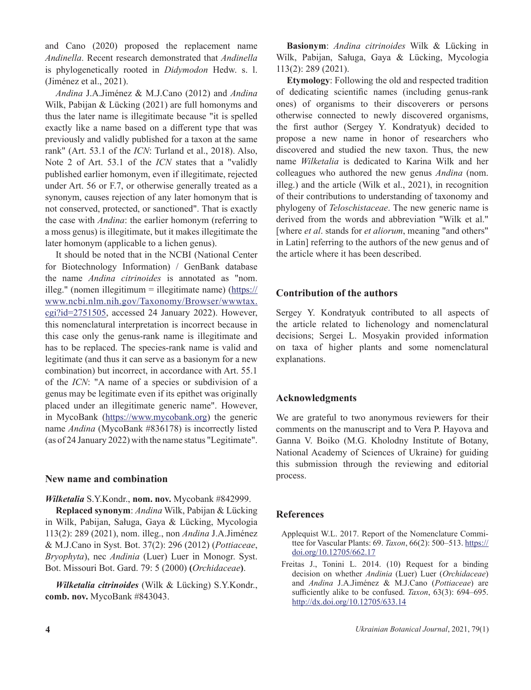and Cano (2020) proposed the replacement name *Andinella*. Recent research demonstrated that *Andinella* is phylogenetically rooted in *Didymodon* Hedw. s. l. (Jiménez et al., 2021).

*Andina* J.A.Jiménez & M.J.Cano (2012) and *Andina* Wilk, Pabijan & Lücking (2021) are full homonyms and thus the later name is illegitimate because "it is spelled exactly like a name based on a different type that was previously and validly published for a taxon at the same rank" (Art. 53.1 of the *ICN*: Turland et al., 2018). Also, Note 2 of Art. 53.1 of the *ICN* states that a "validly published earlier homonym, even if illegitimate, rejected under Art. 56 or F.7, or otherwise generally treated as a synonym, causes rejection of any later homonym that is not conserved, protected, or sanctioned". That is exactly the case with *Andina*: the earlier homonym (referring to a moss genus) is illegitimate, but it makes illegitimate the later homonym (applicable to a lichen genus).

It should be noted that in the NCBI (National Center for Biotechnology Information) / GenBank database the name *Andina citrinoides* is annotated as "nom. illeg." (nomen illegitimum = illegitimate name) ( $\frac{https://}{https://}$ [www.ncbi.nlm.nih.gov/Taxonomy/Browser/wwwtax.](https://www.ncbi.nlm.nih.gov/Taxonomy/Browser/wwwtax.cgi?id=2751505) [cgi?id=2751505](https://www.ncbi.nlm.nih.gov/Taxonomy/Browser/wwwtax.cgi?id=2751505), accessed 24 January 2022). However, this nomenclatural interpretation is incorrect because in this case only the genus-rank name is illegitimate and has to be replaced. The species-rank name is valid and legitimate (and thus it can serve as a basionym for a new combination) but incorrect, in accordance with Art. 55.1 of the *ICN*: "A name of a species or subdivision of a genus may be legitimate even if its epithet was originally placed under an illegitimate generic name". However, in MycoBank (<https://www.mycobank.org>) the generic name *Andina* (MycoBank #836178) is incorrectly listed (as of 24 January 2022) with the name status "Legitimate".

#### **New name and combination**

#### *Wilketalia* S.Y.Kondr., **nom. nov.** Mycobank #842999.

**Replaced synonym**: *Andina* Wilk, Pabijan & Lücking in Wilk, Pabijan, Saługa, Gaya & Lücking, Mycologia 113(2): 289 (2021), nom. illeg., non *Andina* J.A.Jiménez & M.J.Cano in Syst. Bot. 37(2): 296 (2012) (*Pottiaceae*, *Bryophyta*), nec *Andinia* (Luer) Luer in Monogr. Syst. Bot. Missouri Bot. Gard. 79: 5 (2000) **(***Orchidaceae***)**.

*Wilketalia citrinoides* (Wilk & Lücking) S.Y.Kondr., **comb. nov.** MycoBank #843043.

**Basionym**: *Andina citrinoides* Wilk & Lücking in Wilk, Pabijan, Saługa, Gaya & Lücking, Mycologia 113(2): 289 (2021).

**Etymology**: Following the old and respected tradition of dedicating scientific names (including genus-rank ones) of organisms to their discoverers or persons otherwise connected to newly discovered organisms, the first author (Sergey Y. Kondratyuk) decided to propose a new name in honor of researchers who discovered and studied the new taxon. Thus, the new name *Wilketalia* is dedicated to Karina Wilk and her colleagues who authored the new genus *Andina* (nom. illeg.) and the article (Wilk et al., 2021), in recognition of their contributions to understanding of taxonomy and phylogeny of *Teloschistaceae*. The new generic name is derived from the words and abbreviation "Wilk et al." [where *et al*. stands for *et aliorum*, meaning "and others" in Latin] referring to the authors of the new genus and of the article where it has been described.

#### **Contribution of the authors**

Sergey Y. Kondratyuk contributed to all aspects of the article related to lichenology and nomenclatural decisions; Sergei L. Mosyakin provided information on taxa of higher plants and some nomenclatural explanations.

### **Acknowledgments**

We are grateful to two anonymous reviewers for their comments on the manuscript and to Vera P. Hayova and Ganna V. Boiko (M.G. Kholodny Institute of Botany, National Academy of Sciences of Ukraine) for guiding this submission through the reviewing and editorial process.

#### **References**

- Applequist W.L. 2017. Report of the Nomenclature Committee for Vascular Plants: 69. *Taxon*, 66(2): 500–513. [https://](https://doi.org/10.12705/662.17) [doi.org/10.12705/662.17](https://doi.org/10.12705/662.17)
- Freitas J., Tonini L. 2014. (10) Request for a binding decision on whether *Andinia* (Luer) Luer (*Orchidaceae*) and *Andina* J.A.Jiménez & M.J.Cano (*Pottiaceae*) are sufficiently alike to be confused. *Taxon*, 63(3): 694–695. <http://dx.doi.org/10.12705/633.14>